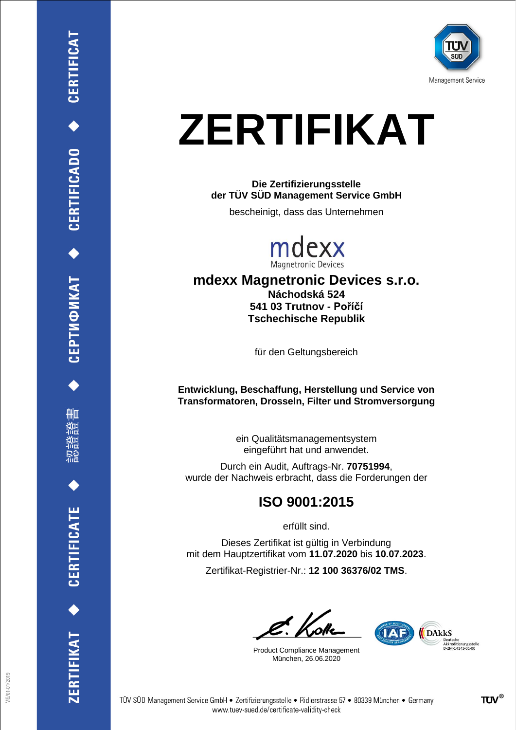

# **ZERTIFIKAT**

**Die Zertifizierungsstelle der TÜV SÜD Management Service GmbH**

bescheinigt, dass das Unternehmen



**mdexx Magnetronic Devices s.r.o. Náchodská 524 541 03 Trutnov - Poříčí Tschechische Republik**

für den Geltungsbereich

**Entwicklung, Beschaffung, Herstellung und Service von Transformatoren, Drosseln, Filter und Stromversorgung**

> ein Qualitätsmanagementsystem eingeführt hat und anwendet.

Durch ein Audit, Auftrags-Nr. **70751994**, wurde der Nachweis erbracht, dass die Forderungen der

#### **ISO 9001:2015**

erfüllt sind.

Dieses Zertifikat ist gültig in Verbindung mit dem Hauptzertifikat vom **11.07.2020** bis **10.07.2023**.

Zertifikat-Registrier-Nr.: **12 100 36376/02 TMS**.

Product Compliance Management München, 26.06.2020

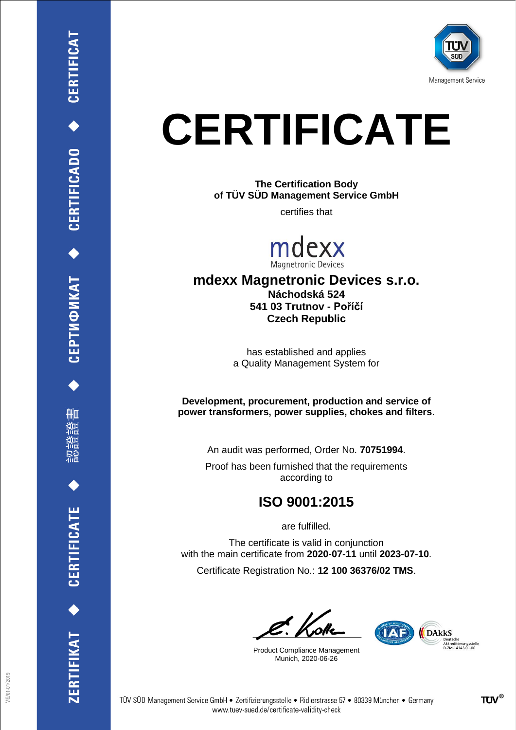

## **CERTIFICATE**

**The Certification Body of TÜV SÜD Management Service GmbH**

certifies that



#### **mdexx Magnetronic Devices s.r.o. Náchodská 524 541 03 Trutnov - Poříčí Czech Republic**

has established and applies a Quality Management System for

**Development, procurement, production and service of power transformers, power supplies, chokes and filters**.

An audit was performed, Order No. **70751994**.

Proof has been furnished that the requirements according to

### **ISO 9001:2015**

are fulfilled.

The certificate is valid in conjunction with the main certificate from **2020-07-11** until **2023-07-10**. Certificate Registration No.: **12 100 36376/02 TMS**.

Product Compliance Management Munich, 2020-06-26



ERTIFIKAT<sup>+</sup>